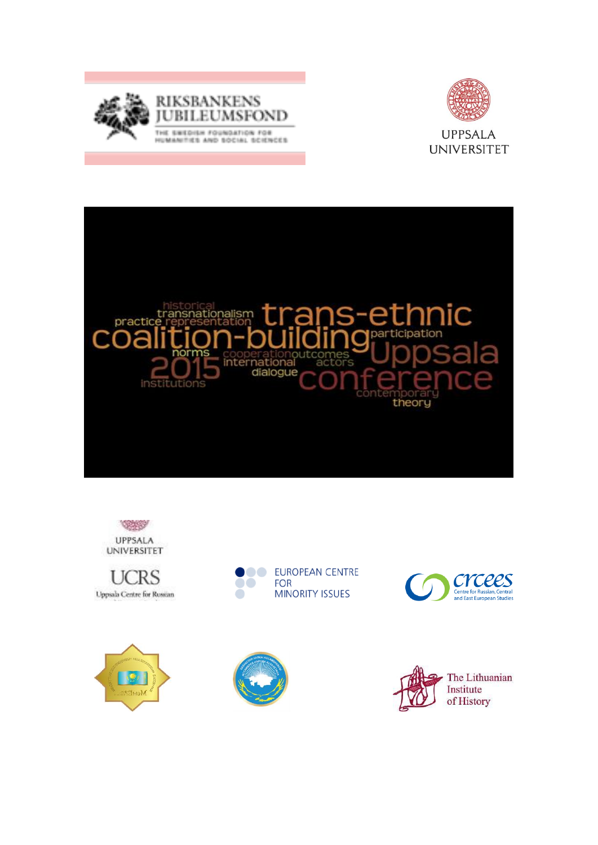

















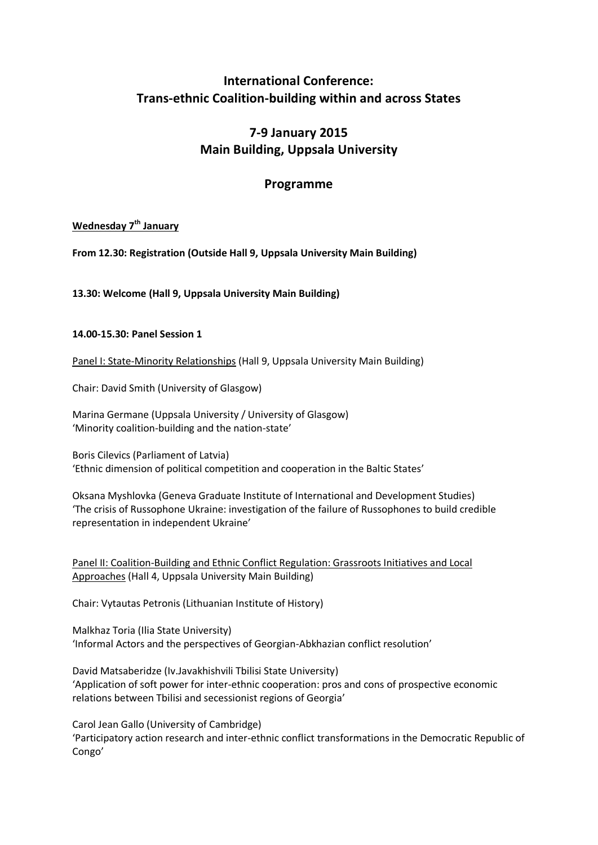# **International Conference: Trans-ethnic Coalition-building within and across States**

# **7-9 January 2015 Main Building, Uppsala University**

# **Programme**

# **Wednesday 7th January**

**From 12.30: Registration (Outside Hall 9, Uppsala University Main Building)**

**13.30: Welcome (Hall 9, Uppsala University Main Building)**

#### **14.00-15.30: Panel Session 1**

Panel I: State-Minority Relationships (Hall 9, Uppsala University Main Building)

Chair: David Smith (University of Glasgow)

Marina Germane (Uppsala University / University of Glasgow) 'Minority coalition-building and the nation-state'

Boris Cilevics (Parliament of Latvia) 'Ethnic dimension of political competition and cooperation in the Baltic States'

Oksana Myshlovka (Geneva Graduate Institute of International and Development Studies) 'The crisis of Russophone Ukraine: investigation of the failure of Russophones to build credible representation in independent Ukraine'

Panel II: Coalition-Building and Ethnic Conflict Regulation: Grassroots Initiatives and Local Approaches (Hall 4, Uppsala University Main Building)

Chair: Vytautas Petronis (Lithuanian Institute of History)

Malkhaz Toria (Ilia State University) 'Informal Actors and the perspectives of Georgian-Abkhazian conflict resolution'

David Matsaberidze (Iv.Javakhishvili Tbilisi State University) 'Application of soft power for inter-ethnic cooperation: pros and cons of prospective economic relations between Tbilisi and secessionist regions of Georgia'

Carol Jean Gallo (University of Cambridge) 'Participatory action research and inter-ethnic conflict transformations in the Democratic Republic of Congo'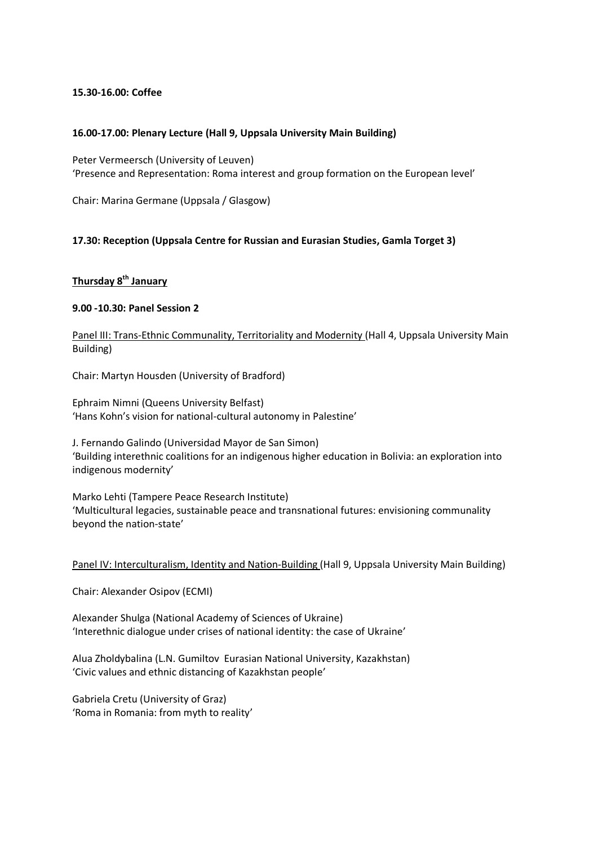#### **15.30-16.00: Coffee**

#### **16.00-17.00: Plenary Lecture (Hall 9, Uppsala University Main Building)**

Peter Vermeersch (University of Leuven) 'Presence and Representation: Roma interest and group formation on the European level'

Chair: Marina Germane (Uppsala / Glasgow)

#### **17.30: Reception (Uppsala Centre for Russian and Eurasian Studies, Gamla Torget 3)**

## **Thursday 8th January**

#### **9.00 -10.30: Panel Session 2**

Panel III: Trans-Ethnic Communality, Territoriality and Modernity (Hall 4, Uppsala University Main Building)

Chair: Martyn Housden (University of Bradford)

Ephraim Nimni (Queens University Belfast) 'Hans Kohn's vision for national-cultural autonomy in Palestine'

J. Fernando Galindo (Universidad Mayor de San Simon) 'Building interethnic coalitions for an indigenous higher education in Bolivia: an exploration into indigenous modernity'

Marko Lehti (Tampere Peace Research Institute) 'Multicultural legacies, sustainable peace and transnational futures: envisioning communality beyond the nation-state'

Panel IV: Interculturalism, Identity and Nation-Building (Hall 9, Uppsala University Main Building)

Chair: Alexander Osipov (ECMI)

Alexander Shulga (National Academy of Sciences of Ukraine) 'Interethnic dialogue under crises of national identity: the case of Ukraine'

Alua Zholdybalina (L.N. Gumiltov Eurasian National University, Kazakhstan) 'Civic values and ethnic distancing of Kazakhstan people'

Gabriela Cretu (University of Graz) 'Roma in Romania: from myth to reality'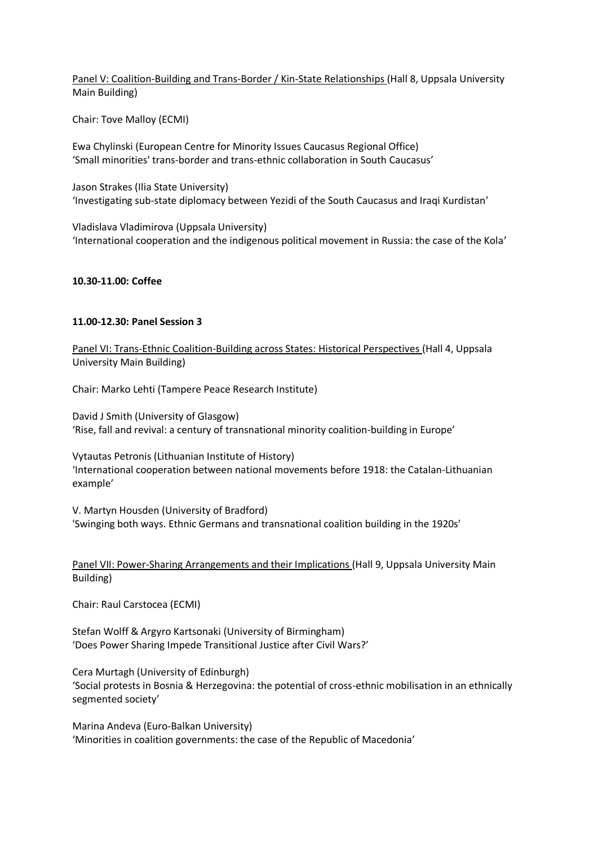Panel V: Coalition-Building and Trans-Border / Kin-State Relationships (Hall 8, Uppsala University Main Building)

Chair: Tove Malloy (ECMI)

Ewa Chylinski (European Centre for Minority Issues Caucasus Regional Office) 'Small minorities' trans-border and trans-ethnic collaboration in South Caucasus'

Jason Strakes (Ilia State University) 'Investigating sub-state diplomacy between Yezidi of the South Caucasus and Iraqi Kurdistan'

Vladislava Vladimirova (Uppsala University) 'International cooperation and the indigenous political movement in Russia: the case of the Kola'

#### **10.30-11.00: Coffee**

#### **11.00-12.30: Panel Session 3**

Panel VI: Trans-Ethnic Coalition-Building across States: Historical Perspectives (Hall 4, Uppsala University Main Building)

Chair: Marko Lehti (Tampere Peace Research Institute)

David J Smith (University of Glasgow) 'Rise, fall and revival: a century of transnational minority coalition-building in Europe'

Vytautas Petronis (Lithuanian Institute of History) 'International cooperation between national movements before 1918: the Catalan-Lithuanian example'

V. Martyn Housden (University of Bradford) 'Swinging both ways. Ethnic Germans and transnational coalition building in the 1920s'

Panel VII: Power-Sharing Arrangements and their Implications (Hall 9, Uppsala University Main Building)

Chair: Raul Carstocea (ECMI)

Stefan Wolff & Argyro Kartsonaki (University of Birmingham) 'Does Power Sharing Impede Transitional Justice after Civil Wars?'

Cera Murtagh (University of Edinburgh) 'Social protests in Bosnia & Herzegovina: the potential of cross-ethnic mobilisation in an ethnically segmented society'

Marina Andeva (Euro-Balkan University) 'Minorities in coalition governments: the case of the Republic of Macedonia'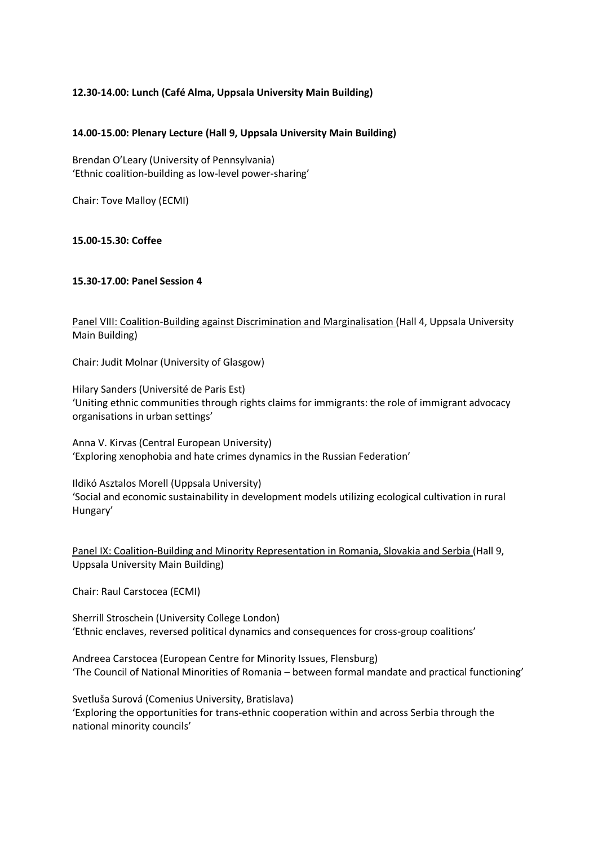## **12.30-14.00: Lunch (Café Alma, Uppsala University Main Building)**

#### **14.00-15.00: Plenary Lecture (Hall 9, Uppsala University Main Building)**

Brendan O'Leary (University of Pennsylvania) 'Ethnic coalition-building as low-level power-sharing'

Chair: Tove Malloy (ECMI)

**15.00-15.30: Coffee**

#### **15.30-17.00: Panel Session 4**

Panel VIII: Coalition-Building against Discrimination and Marginalisation (Hall 4, Uppsala University Main Building)

Chair: Judit Molnar (University of Glasgow)

Hilary Sanders (Université de Paris Est) 'Uniting ethnic communities through rights claims for immigrants: the role of immigrant advocacy organisations in urban settings'

Anna V. Kirvas (Central European University) 'Exploring xenophobia and hate crimes dynamics in the Russian Federation'

Ildikó Asztalos Morell (Uppsala University) 'Social and economic sustainability in development models utilizing ecological cultivation in rural Hungary'

Panel IX: Coalition-Building and Minority Representation in Romania, Slovakia and Serbia (Hall 9, Uppsala University Main Building)

Chair: Raul Carstocea (ECMI)

Sherrill Stroschein (University College London) 'Ethnic enclaves, reversed political dynamics and consequences for cross-group coalitions'

Andreea Carstocea (European Centre for Minority Issues, Flensburg) 'The Council of National Minorities of Romania – between formal mandate and practical functioning'

Svetluša Surová (Comenius University, Bratislava) 'Exploring the opportunities for trans-ethnic cooperation within and across Serbia through the national minority councils'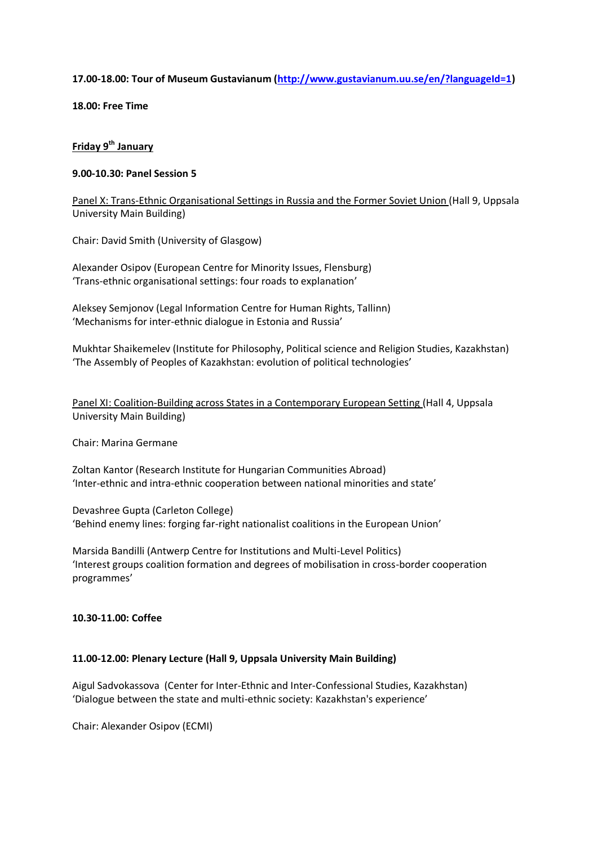#### **17.00-18.00: Tour of Museum Gustavianum [\(http://www.gustavianum.uu.se/en/?languageId=1\)](http://www.gustavianum.uu.se/en/?languageId=1)**

**18.00: Free Time**

# **Friday 9th January**

### **9.00-10.30: Panel Session 5**

Panel X: Trans-Ethnic Organisational Settings in Russia and the Former Soviet Union (Hall 9, Uppsala University Main Building)

Chair: David Smith (University of Glasgow)

Alexander Osipov (European Centre for Minority Issues, Flensburg) 'Trans-ethnic organisational settings: four roads to explanation'

Aleksey Semjonov (Legal Information Centre for Human Rights, Tallinn) 'Mechanisms for inter-ethnic dialogue in Estonia and Russia'

Mukhtar Shaikemelev (Institute for Philosophy, Political science and Religion Studies, Kazakhstan) 'The Assembly of Peoples of Kazakhstan: evolution of political technologies'

Panel XI: Coalition-Building across States in a Contemporary European Setting (Hall 4, Uppsala University Main Building)

Chair: Marina Germane

Zoltan Kantor (Research Institute for Hungarian Communities Abroad) 'Inter-ethnic and intra-ethnic cooperation between national minorities and state'

Devashree Gupta (Carleton College) 'Behind enemy lines: forging far-right nationalist coalitions in the European Union'

Marsida Bandilli (Antwerp Centre for Institutions and Multi-Level Politics) 'Interest groups coalition formation and degrees of mobilisation in cross-border cooperation programmes'

#### **10.30-11.00: Coffee**

#### **11.00-12.00: Plenary Lecture (Hall 9, Uppsala University Main Building)**

Aigul Sadvokassova (Center for Inter-Ethnic and Inter-Confessional Studies, Kazakhstan) 'Dialogue between the state and multi-ethnic society: Kazakhstan's experience'

Chair: Alexander Osipov (ECMI)